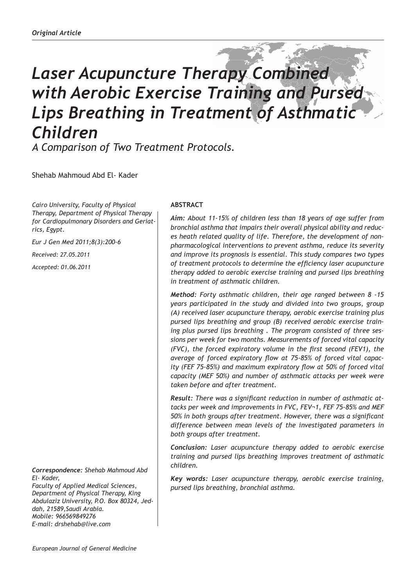# *Laser Acupuncture Therapy Combined with Aerobic Exercise Training and Pursed Lips Breathing in Treatment of Asthmatic Children A Comparison of Two Treatment Protocols.*

Shehab Mahmoud Abd El- Kader

*Cairo University, Faculty of Physical Therapy, Department of Physical Therapy for Cardiopulmonary Disorders and Geriatrics, Egypt.*

*Eur J Gen Med 2011;8(3):200-6*

*Received: 27.05.2011*

*Accepted: 01.06.2011*

*Correspondence: Shehab Mahmoud Abd El- Kader,*

*Faculty of Applied Medical Sciences, Department of Physical Therapy, King Abdulaziz University, P.O. Box 80324, Jeddah, 21589,Saudi Arabia. Mobile: 966569849276 E-mail: drshehab@live.com* 

## **ABSTRACT**

*Aim: About 11-15% of children less than 18 years of age suffer from bronchial asthma that impairs their overall physical ability and reduces heath related quality of life. Therefore, the development of nonpharmacological interventions to prevent asthma, reduce its severity and improve its prognosis is essential. This study compares two types of treatment protocols to determine the efficiency laser acupuncture therapy added to aerobic exercise training and pursed lips breathing in treatment of asthmatic children.* 

*Method: Forty asthmatic children, their age ranged between 8 -15 years participated in the study and divided into two groups, group (A) received laser acupuncture therapy, aerobic exercise training plus pursed lips breathing and group (B) received aerobic exercise training plus pursed lips breathing . The program consisted of three sessions per week for two months. Measurements of forced vital capacity (FVC), the forced expiratory volume in the first second (FEV1), the average of forced expiratory flow at 75-85% of forced vital capacity (FEF 75-85%) and maximum expiratory flow at 50% of forced vital capacity (MEF 50%) and number of asthmatic attacks per week were taken before and after treatment.*

*Result: There was a significant reduction in number of asthmatic attacks per week and improvements in FVC, FEV¬1, FEF 75-85% and MEF 50% in both groups after treatment. However, there was a significant difference between mean levels of the investigated parameters in both groups after treatment.*

*Conclusion: Laser acupuncture therapy added to aerobic exercise training and pursed lips breathing improves treatment of asthmatic children.*

*Key words: Laser acupuncture therapy, aerobic exercise training, pursed lips breathing, bronchial asthma.*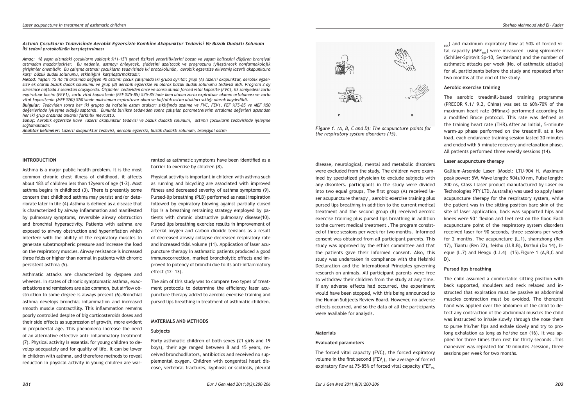## *Astımlı Çocukların Tedavisinde Aerobik Egzersizle Kombine Akapunktur Tedavisi Ve Büzük Dudaklı Solunum*

*İki tedavi protokolünün karşılaştırılması*

Asthma is a major public health problem. It is the most common chronic chest illness of childhood, it affects about 18% of children less than 12years of age (1-2). Most asthma begins in childhood (3). There is presently some concern that childhood asthma may persist and/or deteriorate later in life (4).Asthma is defined as a disease that is characterized by airway inflammation and manifested by pulmonary symptoms, reversible airway obstruction and bronchial hyperactivity. Patients with asthma are exposed to airway obstruction and hyperinflation which interfere with the ability of the respiratory muscles to generate subatmospheric pressure and increase the load on the respiratory muscles. Airway resistance is increased three folds or higher than normal in patients with chronic

Asthmatic attacks are characterized by dyspnea and wheezes. In states of chronic symptomatic asthma, exacerbations and remissions are also common, but airflow obstruction to some degree is always present (6).Bronchial asthma develops bronchial inflammation and increased smooth muscle contractility. This inflammation remains poorly controlled despite of big corticosteroids doses and their side effects as suppression of growth, more evident in prepubertal age. This phenomena increase the need of an alternative effective anti- inflammatory treatment (7). Physical activity is essential for young children to develop adequately and for quality of life. It can be lower in children with asthma, and therefore methods to reveal reduction in physical activity in young children are war-

*Amaç: 18 yaşın altındaki çocukların yaklaşık %11-15'i genel fiziksel yeterliliklerini bozan ve yaşam kalitesini düşüren bronşiyal astmadan muzdariptirler. Bu nedenle, astmayı önleyecek, şiddetini azaltacak ve prognozunu iyileştirecek nonfarmakolojik girişimler önemlidir. Bu çalışma astmalı çocukların tedavisinde iki protokolünün, aerobik egzersize eklenmiş lazerli akapunktura karşı büzük dudak solunumu, etkinliğini karşılaştırmaktadır.*

*Metod: Yaşları 15 ila 18 arasında değişen 40 astımlı çocuk çalışmada iki gruba ayrıldı; grup (A) lazerli akapunktur, aerobik egzersize ek olarak büzük dudak solunumu ve grup (B) aerobik egzersize ek olarak büzük dudak solunumu tedavisi aldı. Program 2 ay süresince haftada 3 seanstan oluşuyordu. Ölçümler tedaviden önce ve sonra alınan forced vital kapasite (FVC), ilk saniyedeki zorlu expiratuar hacim (FEV1), zorlu vital kapasitenin (FEF %75-85) %75-85'inde iken alınan zorlu expiratuar akımın ortalaması ve zorlu vital kapasitenin (MEF %50) %50'sinde maksimum expiratuvar akım ve haftalık astım atakları sıklığı olarak kaydedildi.* 

*Bulgular: Tedaviden sonra her iki grupta da haftalık astım atakları sıklığında azalma ve FVC, FEV1, FEF %75-85 ve MEF %50 değerlerinde iyileşme olduğu saptandı. Bununla birlikte tedaviden sonra çalışılan parametrelerim ortalama değerleri açısından her iki grup arasında anlamlı farklılık mevcuttu.*

*Sonuç: Aerobik egzersize ilave lazerli akapunktur tedavisi ve büzük dudaklı solunum, astımlı çocukların tedavisinde iyileşme sağlamaktadır.* 

*Anahtar kelimeler: Lazerli akapunktur tedavisi, aerobik egzersiz, büzük dudaklı solunum, bronşiyal astım Figure 1. (A, B, C and D): The acupuncture points for* 



disease, neurological, mental and metabolic disorders were excluded from the study. The children were examined by specialized physician to exclude subjects with any disorders. participants in the study were divided into two equal groups, The first group (A) received laser acupuncture therapy , aerobic exercise training plus pursed lips breathing in addition to the current medical treatment and the second group (B) received aerobic exercise training plus pursed lips breathing in addition to the current medical treatment . The program consisted of three sessions per week for two months. Informed consent was obtained from all participant parents. This study was approved by the ethics committee and that the patients gave their informed consent. Also, this study was undertaken in compliance with the Helsinki Declaration and the International Principles governing research on animals. All participant parents were free to withdraw their children from the study at any time. If any adverse effects had occurred, the experiment would have been stopped, with this being announced to the Human Subjects Review Board. However, no adverse effects occurred, and so the data of all the participants

*the respiratory system disorders (15).*

**Aerobic exercise training**

The aerobic treadmill-based training programme (PRECOR 9.1/ 9.2, China) was set to 60%-70% of the maximum heart rate (HRmax) performed according to a modified Bruce protocol. This rate was defined as the training heart rate (THR).After an initial, 5-minute warm-up phase performed on the treadmill at a low load, each endurance training session lasted 20 minutes and ended with 5-minute recovery and relaxation phase. All patients performed three weekly sessions (14).

 $_{85\%}$ ) and maximum expiratory flow at 50% of forced vital capacity (MEF<sub> $50\%$ </sub>) were measured using spirometer (Schiller-Spirovit Sp-10, Swizerland) and the number of asthmatic attacks per week (No. of asthmatic attacks) for all participants before the study and repeated after

## **Laser acupuncture therapy**

two months at the end of the study.

Gallium-Arsenide Laser (Model: LTU-904 H, Maximum peak power: 5W, Wave length: 904±10 nm, Pulse length: 200 ns, Class I laser product manufactured by Laser ex Technologies PTY LTD, Australia) was used to apply laser acupuncture therapy for the respiratory system, while the patient was in the sitting position bare skin of the site of laser application, back was supported hips and knees were 90° flexion and feet rest on the floor. Each acupuncture point of the respiratory system disorders received laser for 90 seconds, three sessions per week for 2 months. The acupuncture (L.1), shamzhong (Ren 17), Tiantu (Ren 22), feishu (U.B.B), Dazhui (Du 14), lieque (L.7) and Heagu (L.I.4) (15).Figure 1 (A,B,C and D).

## **Pursed lips breathing**

The child assumed a comfortable sitting position with back supported, shoulders and neck relaxed and instructed that expiration must be passive as abdominal muscles contraction must be avoided. The therapist hand was applied over the abdomen of the child to detect any contraction of the abdominal muscles the child was instructed to inhale slowly through the nose them to purse his/her lips and exhale slowly and try to prolong exhalation as long as he/she can (16). It was applied for three times then rest for thirty seconds .This maneuver was repeated for 10 minutes /session, three sessions per week for two months.

ranted as asthmatic symptoms have been identified as a barrier to exercise by children (8).

Physical activity is important in children with asthma such as running and bicycling are associated with improved fitness and decreased severity of asthma symptoms (9). Pursed-lip breathing (PLB) performed as nasal inspiration followed by expiratory blowing against partially closed lips is a breathing retraining strategy employed by patients with chronic obstructive pulmonary disease(10). Pursed lips breathing exercise results in improvement of arterial oxygen and carbon dioxide tensions as a result of decreased airway collapse decreased respiratory rate and increased tidal volume (11). Application of laser acupuncture therapy in asthmatic patients produced a good immunocorrection, marked broncholytic effects and improved to potency of bronchi due to its anti-inflammatory effect (12- 13).

The aim of this study was to compare two types of treatment protocols to determine the efficiency laser acupuncture therapy added to aerobic exercise training and pursed lips breathing in treatment of asthmatic children.

## **MATERIALS AND METHODS**

## **Subjects**

Forty asthmatic children of both sexes (21 girls and 19 boys), their age ranged between 8 and 15 years, received bronchodilators, antibiotics and received no supplemental oxygen. Children with congenital heart disease, vertebral fractures, kyphosis or scoliosis, pleural

**Evaluated parameters** 

were available for analysis.

**Materials**

The forced vital capacity (FVC), the forced expiratory volume in the first second (FEV<sub>1</sub>), the average of forced expiratory flow at 75-85% of forced vital capacity (FEF $_{75}$ 

**INTRODUCTION**

persistent asthma (5).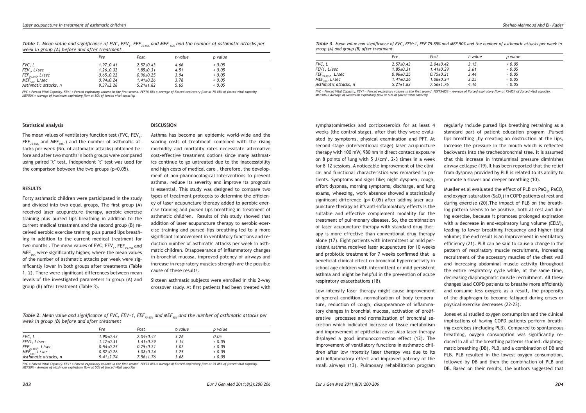*Table 1. Mean value and significance of FVC, FEV1*

|                                                                                                                                             | n | $D = -1$ | مبرامير مساحيط |  |
|---------------------------------------------------------------------------------------------------------------------------------------------|---|----------|----------------|--|
| week in group (A) before and after treatment.                                                                                               |   |          |                |  |
| Table 1. Mean value and significance of FVC, FLV <sub>1</sub> , FLI $_{75-85\%}$ and MLI $_{50\%}$ and the namber of astimulate attacks per |   |          |                |  |

|                                               | Pre             | Post            | t-value | p value |  |
|-----------------------------------------------|-----------------|-----------------|---------|---------|--|
| FVC, L                                        | $1.97 + 0.41$   | $2.57 \pm 0.43$ | 4.66    | 0.05    |  |
| FEV., L/sec                                   | $1.26 \pm 0.32$ | $1.85 \pm 0.31$ | 4.51    | 0.05    |  |
| $\mathsf{FEF}_{75\cdot 85\%}, \mathsf{L/sec}$ | $0.65 \pm 0.22$ | $0.96 \pm 0.25$ | 3.94    | 0.05    |  |
| MEF $_{50\%}$ , L/sec                         | $0.94 \pm 0.24$ | $1.41 \pm 0.26$ | 3.78    | 0.05    |  |
| Asthmatic attacks, n                          | $9.37 \pm 2.28$ | $5.21 \pm 1.82$ | 5.65    | 0.05    |  |

*FVC = Forced Vital Capacity. FEV1 = Forced expiratory volume in the first second. FEF75-85% = Average of Forced expiratory flow at 75-85% of forced vital capacity. MEF50% = Average of Maximum expiratory flow at 50% of forced vital capacity.*

**DISCUSSION**

#### **Statistical analysis**

The mean values of ventilatory function test (FVC, FEV $_{\textrm{\tiny{1}}}$ , FEF<sub>75-85%</sub> and MEF<sub>50%</sub>.) and the number of asthmatic attacks per week (No. of asthmatic attacks) obtained before and after two months in both groups were compared using paired "t" test. Independent "t" test was used for the comparison between the two groups  $(p<0.05)$ .

## **RESULTS**

Forty asthmatic children were participated in the study and divided into two equal groups. The first group (A) received laser acupuncture therapy, aerobic exercise training plus pursed lips breathing in addition to the current medical treatment and the second group (B) received aerobic exercise training plus pursed lips breathing in addition to the current medical treatment for two months . The mean values of FVC, FEV<sub>1</sub>, FEF<sub>75-85%</sub> and  $MEF<sub>50%</sub>$  were significantly higher, where the mean values of the number of asthmatic attacks per week were significantly lower in both groups after treatments (Table 1, 2). There were significant differences between mean levels of the investigated parameters in group (A) and group (B) after treatment (Table 3).

Asthma has become an epidemic world-wide and the soaring costs of treatment combined with the rising morbidity and mortality rates necessitate alternative cost-effective treatment options since many asthmatics continue to go untreated due to the inaccessibility and high costs of medical care , therefore, the development of non-pharmacological interventions to prevent asthma, reduce its severity and improve its prognosis is essential. This study was designed to compare two types of treatment protocols to determine the efficiency of laser acupuncture therapy added to aerobic exercise training and pursed lips breathing in treatment of asthmatic children. Results of this study showed that addition of laser acupuncture therapy to aerobic exercise training and pursed lips breathing led to a more significant improvement in ventilatory functions and reduction number of asthmatic attacks per week in asthmatic children. Disappearance of inflammatory changes in bronchial mucosa, improved potency of airways and increase in respiratory muscles strength are the possible cause of these results.

*, FEF75-85% and MEF 50% and the number of asthmatic attacks per* 

Sixteen asthmatic subjects were enrolled in this 2-way crossover study. At first patients had been treated with

*Table 2. Mean value and significance of FVC, FEV-1, FEF*<sub>75-85%</sub> and MEF<sub>50%</sub> and the number of asthmatic attacks per *week in group (B) before and after treatment*

|                                               | Pre             | Post            | t-value | p value |  |
|-----------------------------------------------|-----------------|-----------------|---------|---------|--|
| FVC, L                                        | $1.90+0.43$     | $2.04 + 0.42$   | 3.26    | 0.05    |  |
| FEV1, L/sec                                   | $1.17 \pm 0.31$ | $1.41 \pm 0.29$ | 3.14    | 0.05    |  |
| $\mathsf{FEF}_{75\cdot 85\%}, \mathsf{L/sec}$ | $0.54 \pm 0.25$ | $0.75 + 0.21$   | 3.02    | 0.05    |  |
| MEF $_{50\%}$ , L/sec                         | $0.87 \pm 0.26$ | $1.08 \pm 0.24$ | 3.25    | 0.05    |  |
| Asthmatic attacks, n                          | $9.41 \pm 2.74$ | $7.56 \pm 1.76$ | 3.68    | 0.05    |  |

*FVC = Forced Vital Capacity. FEV1 = Forced expiratory volume in the first second. FEF75-85% = Average of Forced expiratory flow at 75-85% of forced vital capacity. MEF50% = Average of Maximum expiratory flow at 50% of forced vital capacity.*

*Table 3. Mean value and significance of FVC, FEV¬1, FEF 75-85% and MEF 50% and the number of asthmatic attacks per week in group (A) and group (B) after treatment.*

|                         | Pre             | Post            | t-value | p value |
|-------------------------|-----------------|-----------------|---------|---------|
| FVC, L                  | $2.57 \pm 0.43$ | $2.04 + 0.42$   | 3.15    | 0.05    |
| FEV1, L/sec             | $1.85 \pm 0.31$ | $1.41 \pm 0.29$ | 3.61    | 0.05    |
| $FEF_{75.85\%}$ , L/sec | $0.96 \pm 0.25$ | $0.75 \pm 0.21$ | 3.44    | 0.05    |
| MEF $_{50\%}$ , L/sec   | $1.41 \pm 0.26$ | $1.08 \pm 0.24$ | 3.25    | 0.05    |
| Asthmatic attacks, n    | $5.21 \pm 1.82$ | $7.56 \pm 1.76$ | 4.16    | 0.05    |

*FVC = Forced Vital Capacity. FEV1 = Forced expiratory volume in the first second. FEF75-85% = Average of Forced expiratory flow at 75-85% of forced vital capacity. MEF50% = Average of Maximum expiratory flow at 50% of forced vital capacity.*

symphatomimetics and corticosteroids for at least 4 weeks (the control stage), after that they were evaluated by symptoms, physical examination and PFT. At second stage (interventional stage) laser acupuncture therapy with 100 mW, 980 nm in direct contact exposure on 8 points of lung with 5  $J/cm<sup>2</sup>$ , 2-3 times in a week for 8-12 sessions. A noticeable improvement of the clinical and functional characteristics was remarked in patients. Symptoms and signs like; night dyspnea, cough, effort dyspnea, morning symptoms, discharge, and lung exams, wheezing, work absence showed a statistically significant difference (p< 0.05) after adding laser acupuncture therapy as it's anti-inflammatory effects is the suitable and effective complement modality for the treatment of pul¬monary diseases. So, the combination of laser acupuncture therapy with standard drug therapy is more effective than conventional drug therapy alone (17). Eight patients with intermittent or mild persistent asthma received laser acupuncture for 10 weeks and probiotic treatment for 7 weeks confirmed that a beneficial clinical effect on bronchial hyperreactivity in school age children with intermittent or mild persistent asthma and might be helpful in the prevention of acute respiratory exacerbations (18).

Low intensity laser therapy might cause improvement of general condition, normalization of body temperature, reduction of cough, disappearance of inflammatory changes in bronchial mucosa, activation of proliferative processes and normalization of bronchial secretion which indicated increase of tissue metabolism and improvement of epithelial cover. Also laser therapy displayed a good immunocorrection effect (12). The improvement of ventilatory functions in asthmatic children after low intensity laser therapy was due to its anti-inflammatory effect and improved patency of the small airways (13). Pulmonary rehabilitation program

regularly include pursed lips breathing retraining as a standard part of patient education program .Pursed lips breathing ,by creating an obstruction at the lips, increase the pressure in the mouth which is reflected backwards into the tracheobronchial tree. It is assumed that this increase in intraluminal pressure diminishes airway collapse (19).It has been reported that the relief from dyspnea provided by PLB is related to its ability to promote a slower and deeper breathing (10).

Mueller et al evaluated the effect of PLB on PaO $_{\rm 2}$ , PaCO $_{\rm 2}$ and oxygen saturation (SaO<sub>2</sub>) in COPD patients at rest and during exercise (20).The impact of PLB on the breathing pattern seems to be positive, both at rest and during exercise, because it promotes prolonged expiration with a decrease in end-expiratory lung volume (EELV), leading to lower breathing frequency and higher tidal volume; the end result is an improvement in ventilatory efficiency (21). PLB can be said to cause a change in the pattern of respiratory muscle recruitment, increasing recruitment of the accessory muscles of the chest wall and increasing abdominal muscle activity throughout the entire respiratory cycle while, at the same time, decreasing diaphragmatic muscle recruitment. All these changes lead COPD patients to breathe more efficiently and consume less oxygen; as a result, the propensity of the diaphragm to become fatigued during crises or physical exercise decreases (22-23).

Jones et al studied oxygen consumption and the clinical implications of having COPD patients perform breathing exercises (including PLB). Compared to spontaneous breathing, oxygen consumption was significantly reduced in all of the breathing patterns studied: diaphragmatic breathing (DB), PLB, and a combination of DB and PLB. PLB resulted in the lowest oxygen consumption, followed by DB and then the combination of PLB and DB. Based on their results, the authors suggested that